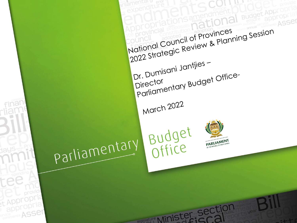**Budget Approl** ASSer 2022 Strategic Review & Planning Session National Council of Provinces IDr. Dumisani Jantjies -Parliamentary Budget Office-Director March 2022 Budget<br>Office parliamentary PARLIAMENT

edislature A Aimister Section

t Appropria appropria

ervice ASSer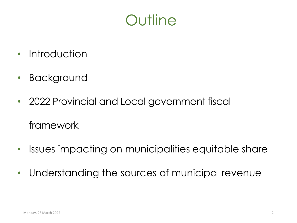

- Introduction
- Background
- 2022 Provincial and Local government fiscal framework
- Issues impacting on municipalities equitable share
- Understanding the sources of municipal revenue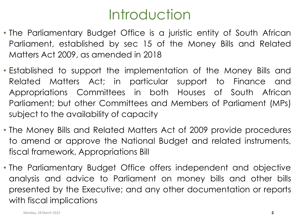# **Introduction**

- The Parliamentary Budget Office is a juristic entity of South African Parliament, established by sec 15 of the Money Bills and Related Matters Act 2009, as amended in 2018
- Established to support the implementation of the Money Bills and Related Matters Act; in particular support to Finance and Appropriations Committees in both Houses of South African Parliament; but other Committees and Members of Parliament (MPs) subject to the availability of capacity
- The Money Bills and Related Matters Act of 2009 provide procedures to amend or approve the National Budget and related instruments, fiscal framework, Appropriations Bill
- The Parliamentary Budget Office offers independent and objective analysis and advice to Parliament on money bills and other bills presented by the Executive; and any other documentation or reports with fiscal implications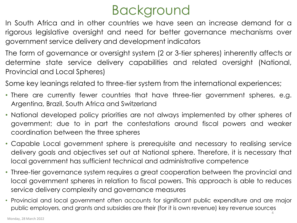# Background

In South Africa and in other countries we have seen an increase demand for a rigorous legislative oversight and need for better governance mechanisms over government service delivery and development indicators

The form of governance or oversight system (2 or 3-tier spheres) inherently affects or determine state service delivery capabilities and related oversight (National, Provincial and Local Spheres)

Some key leanings related to three-tier system from the international experiences;

- There are currently fewer countries that have three-tier government spheres, e.g. Argentina, Brazil, South Africa and Switzerland
- National developed policy priorities are not always implemented by other spheres of government; due to in part the contestations around fiscal powers and weaker coordination between the three spheres
- Capable Local government sphere is prerequisite and necessary to realising service delivery goals and objectives set out at National sphere. Therefore, it is necessary that local government has sufficient technical and administrative competence
- Three-tier governance system requires a great cooperation between the provincial and local government spheres in relation to fiscal powers. This approach is able to reduces service delivery complexity and governance measures
- Provincial and local government often accounts for significant public expenditure and are major public employers, and grants and subsidies are their (for it is own revenue) key revenue sources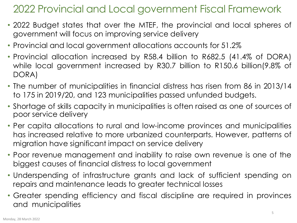## 2022 Provincial and Local government Fiscal Framework

- 2022 Budget states that over the MTEF, the provincial and local spheres of government will focus on improving service delivery
- Provincial and local government allocations accounts for 51.2%
- Provincial allocation increased by R58.4 billion to R682.5 (41.4% of DORA) while local government increased by R30.7 billion to R150.6 billion(9.8% of DORA)
- The number of municipalities in financial distress has risen from 86 in 2013/14 to 175 in 2019/20, and 123 municipalities passed unfunded budgets.
- Shortage of skills capacity in municipalities is often raised as one of sources of poor service delivery
- Per capita allocations to rural and low-income provinces and municipalities has increased relative to more urbanized counterparts. However, patterns of migration have significant impact on service delivery
- Poor revenue management and inability to raise own revenue is one of the biggest causes of financial distress to local government
- Underspending of infrastructure grants and lack of sufficient spending on repairs and maintenance leads to greater technical losses
- Greater spending efficiency and fiscal discipline are required in provinces and municipalities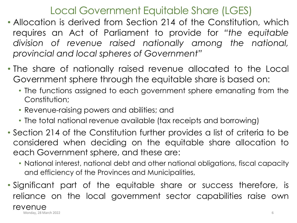#### Local Government Equitable Share (LGES)

- Allocation is derived from Section 214 of the Constitution, which requires an Act of Parliament to provide for *"the equitable division of revenue raised nationally among the national, provincial and local spheres of Government"*
- The share of nationally raised revenue allocated to the Local Government sphere through the equitable share is based on:
	- The functions assigned to each government sphere emanating from the Constitution;
	- Revenue-raising powers and abilities; and
	- The total national revenue available (tax receipts and borrowing)
- Section 214 of the Constitution further provides a list of criteria to be considered when deciding on the equitable share allocation to each Government sphere, and these are:
	- National interest, national debt and other national obligations, fiscal capacity and efficiency of the Provinces and Municipalities,
- Significant part of the equitable share or success therefore, is reliance on the local government sector capabilities raise own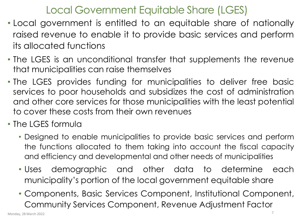#### Local Government Equitable Share (LGES)

- Local government is entitled to an equitable share of nationally raised revenue to enable it to provide basic services and perform its allocated functions
- The LGES is an unconditional transfer that supplements the revenue that municipalities can raise themselves
- The LGES provides funding for municipalities to deliver free basic services to poor households and subsidizes the cost of administration and other core services for those municipalities with the least potential to cover these costs from their own revenues
- The LGES formula
	- Designed to enable municipalities to provide basic services and perform the functions allocated to them taking into account the fiscal capacity and efficiency and developmental and other needs of municipalities
	- Uses demographic and other data to determine each municipality's portion of the local government equitable share
	- Components, Basic Services Component, Institutional Component, Community Services Component, Revenue Adjustment Factor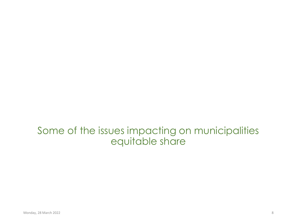Some of the issues impacting on municipalities equitable share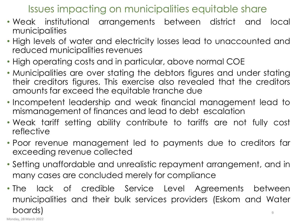#### Issues impacting on municipalities equitable share

- Weak institutional arrangements between district and local municipalities
- High levels of water and electricity losses lead to unaccounted and reduced municipalities revenues
- High operating costs and in particular, above normal COE
- Municipalities are over stating the debtors figures and under stating their creditors figures. This exercise also revealed that the creditors amounts far exceed the equitable tranche due
- Incompetent leadership and weak financial management lead to mismanagement of finances and lead to debt escalation
- Weak tariff setting ability contribute to tariffs are not fully cost reflective
- Poor revenue management led to payments due to creditors far exceeding revenue collected
- Setting unaffordable and unrealistic repayment arrangement, and in many cases are concluded merely for compliance
- The lack of credible Service Level Agreements between municipalities and their bulk services providers (Eskom and Water boards) 9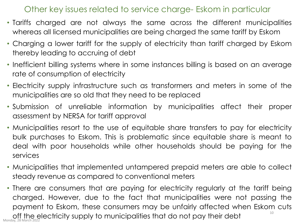#### Other key issues related to service charge- Eskom in particular

- Tariffs charged are not always the same across the different municipalities whereas all licensed municipalities are being charged the same tariff by Eskom
- Charging a lower tariff for the supply of electricity than tariff charged by Eskom thereby leading to accruing of debt
- Inefficient billing systems where in some instances billing is based on an average rate of consumption of electricity
- Electricity supply infrastructure such as transformers and meters in some of the municipalities are so old that they need to be replaced
- Submission of unreliable information by municipalities affect their proper assessment by NERSA for tariff approval
- Municipalities resort to the use of equitable share transfers to pay for electricity bulk purchases to Eskom. This is problematic since equitable share is meant to deal with poor households while other households should be paying for the services
- Municipalities that implemented untampered prepaid meters are able to collect steady revenue as compared to conventional meters
- There are consumers that are paying for electricity regularly at the tariff being charged. However, due to the fact that municipalities were not passing the payment to Eskom, these consumers may be unfairly affected when Eskom cuts off the electricity supply to municipalities that do not pay their debt 10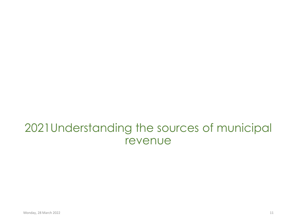## 2021Understanding the sources of municipal revenue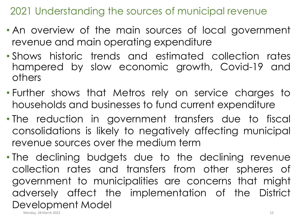2021 Understanding the sources of municipal revenue

- An overview of the main sources of local government revenue and main operating expenditure
- Shows historic trends and estimated collection rates hampered by slow economic growth, Covid-19 and others
- Further shows that Metros rely on service charges to households and businesses to fund current expenditure
- The reduction in government transfers due to fiscal consolidations is likely to negatively affecting municipal revenue sources over the medium term
- The declining budgets due to the declining revenue collection rates and transfers from other spheres of government to municipalities are concerns that might adversely affect the implementation of the District Development Model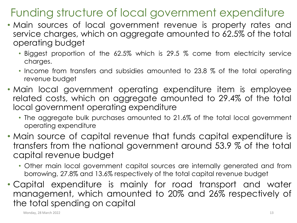## Funding structure of local government expenditure

- Main sources of local government revenue is property rates and service charges, which on aggregate amounted to 62.5% of the total operating budget
	- Biggest proportion of the 62.5% which is 29.5 % come from electricity service charges.
	- Income from transfers and subsidies amounted to 23.8 % of the total operating revenue budget
- Main local government operating expenditure item is employee related costs, which on aggregate amounted to 29.4% of the total local government operating expenditure
	- The aggregate bulk purchases amounted to 21.6% of the total local government operating expenditure
- Main source of capital revenue that funds capital expenditure is transfers from the national government around 53.9 % of the total capital revenue budget
	- Other main local government capital sources are internally generated and from borrowing, 27.8% and 13.6% respectively of the total capital revenue budget
- Capital expenditure is mainly for road transport and water management, which amounted to 20% and 26% respectively of the total spending on capital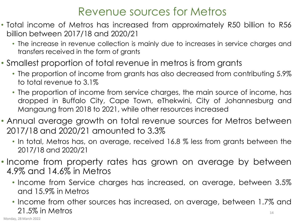## Revenue sources for Metros

- Total income of Metros has increased from approximately R50 billion to R56 billion between 2017/18 and 2020/21
	- The increase in revenue collection is mainly due to increases in service charges and transfers received in the form of grants
- Smallest proportion of total revenue in metros is from grants
	- The proportion of income from grants has also decreased from contributing 5.9% to total revenue to 3.1%
	- The proportion of income from service charges, the main source of income, has dropped in Buffalo City, Cape Town, eThekwini, City of Johannesburg and Mangaung from 2018 to 2021, while other resources increased
- Annual average growth on total revenue sources for Metros between 2017/18 and 2020/21 amounted to 3.3%
	- In total, Metros has, on average, received 16.8 % less from grants between the 2017/18 and 2020/21
- Income from property rates has grown on average by between 4.9% and 14.6% in Metros
	- Income from Service charges has increased, on average, between 3.5% and 15.9% in Metros
	- Income from other sources has increased, on average, between 1.7% and 21.5% in Metros 14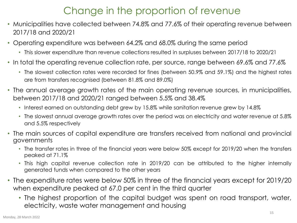#### Change in the proportion of revenue

- Municipalities have collected between 74.8% and 77.6% of their operating revenue between 2017/18 and 2020/21
- Operating expenditure was between 64.2% and 68.0% during the same period
	- This slower expenditure than revenue collections resulted in surpluses between 2017/18 to 2020/21
- In total the operating revenue collection rate, per source, range between 69.6% and 77.6%
	- The slowest collection rates were recorded for fines (between 50.9% and 59.1%) and the highest rates are from transfers recognised (between 81.8% and 89.0%)
- The annual average growth rates of the main operating revenue sources, in municipalities, between 2017/18 and 2020/21 ranged between 5.5% and 38.4%
	- Interest earned on outstanding debt grew by 15.8% while sanitation revenue grew by 14.8%
	- The slowest annual average growth rates over the period was on electricity and water revenue at 5.8% and 5.5% respectively
- The main sources of capital expenditure are transfers received from national and provincial governments
	- The transfer rates in three of the financial years were below 50% except for 2019/20 when the transfers peaked at 71.1%
	- This high capital revenue collection rate in 2019/20 can be attributed to the higher internally generated funds when compared to the other years
- The expenditure rates were below 50% in three of the financial years except for 2019/20 when expenditure peaked at 67.0 per cent in the third quarter
	- The highest proportion of the capital budget was spent on road transport, water, electricity, waste water management and housing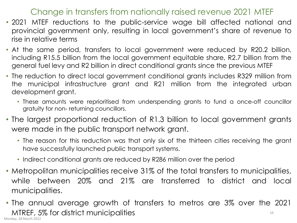#### Change in transfers from nationally raised revenue 2021 MTEF

- 2021 MTEF reductions to the public-service wage bill affected national and provincial government only, resulting in local government's share of revenue to rise in relative terms
- At the same period, transfers to local government were reduced by R20.2 billion, including R15.5 billion from the local government equitable share, R2.7 billion from the general fuel levy and R2 billion in direct conditional grants since the previous MTEF
- The reduction to direct local government conditional grants includes R329 million from the municipal infrastructure grant and R21 million from the integrated urban development grant.
	- These amounts were reprioritised from underspending grants to fund a once-off councillor gratuity for non‐ returning councillors.
- The largest proportional reduction of R1.3 billion to local government grants were made in the public transport network grant.
	- The reason for this reduction was that only six of the thirteen cities receiving the grant have successfully launched public transport systems.
	- Indirect conditional grants are reduced by R286 million over the period
- Metropolitan municipalities receive 31% of the total transfers to municipalities, while between 20% and 21% are transferred to district and local municipalities.
- The annual average growth of transfers to metros are 3% over the 2021 MTREF, 5% for district municipalities Monday, 28 March 2022 16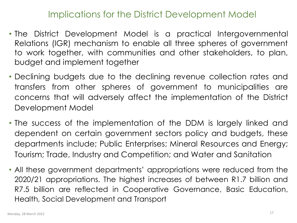#### Implications for the District Development Model

- The District Development Model is a practical Intergovernmental Relations (IGR) mechanism to enable all three spheres of government to work together, with communities and other stakeholders, to plan, budget and implement together
- Declining budgets due to the declining revenue collection rates and transfers from other spheres of government to municipalities are concerns that will adversely affect the implementation of the District Development Model
- The success of the implementation of the DDM is largely linked and dependent on certain government sectors policy and budgets, these departments include; Public Enterprises; Mineral Resources and Energy; Tourism; Trade, Industry and Competition; and Water and Sanitation
- All these government departments' appropriations were reduced from the 2020/21 appropriations. The highest increases of between R1.7 billion and R7.5 billion are reflected in Cooperative Governance, Basic Education, Health, Social Development and Transport